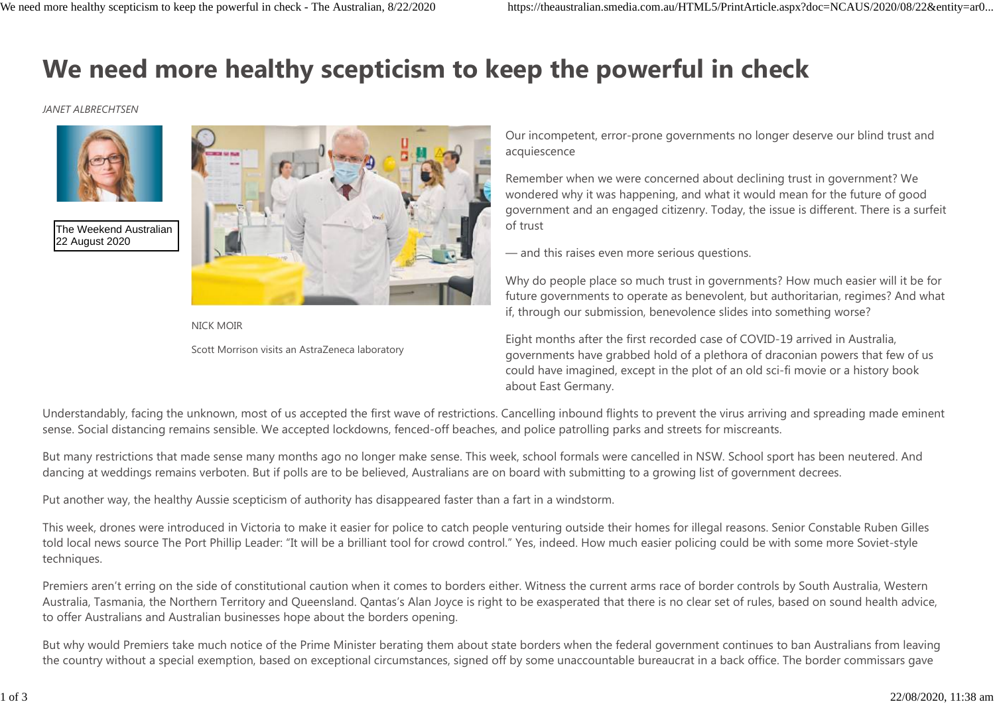## **We need more healthy scepticism to keep the powerful in check**

## *JANET ALBRECHTSEN*



The Weekend Australian 22 August 2020



NICK MOIR Scott Morrison visits an AstraZeneca laboratory Our incompetent, error-prone governments no longer deserve our blind trust and acquiescence

Remember when we were concerned about declining trust in government? We wondered why it was happening, and what it would mean for the future of good government and an engaged citizenry. Today, the issue is different. There is a surfeit of trust

— and this raises even more serious questions.

Why do people place so much trust in governments? How much easier will it be for future governments to operate as benevolent, but authoritarian, regimes? And what if, through our submission, benevolence slides into something worse?

Eight months after the first recorded case of COVID-19 arrived in Australia, governments have grabbed hold of a plethora of draconian powers that few of us could have imagined, except in the plot of an old sci-fi movie or a history book about East Germany.

Understandably, facing the unknown, most of us accepted the first wave of restrictions. Cancelling inbound flights to prevent the virus arriving and spreading made eminent sense. Social distancing remains sensible. We accepted lockdowns, fenced-off beaches, and police patrolling parks and streets for miscreants.

But many restrictions that made sense many months ago no longer make sense. This week, school formals were cancelled in NSW. School sport has been neutered. And dancing at weddings remains verboten. But if polls are to be believed, Australians are on board with submitting to a growing list of government decrees.

Put another way, the healthy Aussie scepticism of authority has disappeared faster than a fart in a windstorm.

This week, drones were introduced in Victoria to make it easier for police to catch people venturing outside their homes for illegal reasons. Senior Constable Ruben Gilles told local news source The Port Phillip Leader: "It will be a brilliant tool for crowd control." Yes, indeed. How much easier policing could be with some more Soviet-style techniques.

Premiers aren't erring on the side of constitutional caution when it comes to borders either. Witness the current arms race of border controls by South Australia, Western Australia, Tasmania, the Northern Territory and Queensland. Qantas's Alan Joyce is right to be exasperated that there is no clear set of rules, based on sound health advice, to offer Australians and Australian businesses hope about the borders opening.

But why would Premiers take much notice of the Prime Minister berating them about state borders when the federal government continues to ban Australians from leaving the country without a special exemption, based on exceptional circumstances, signed off by some unaccountable bureaucrat in a back office. The border commissars gave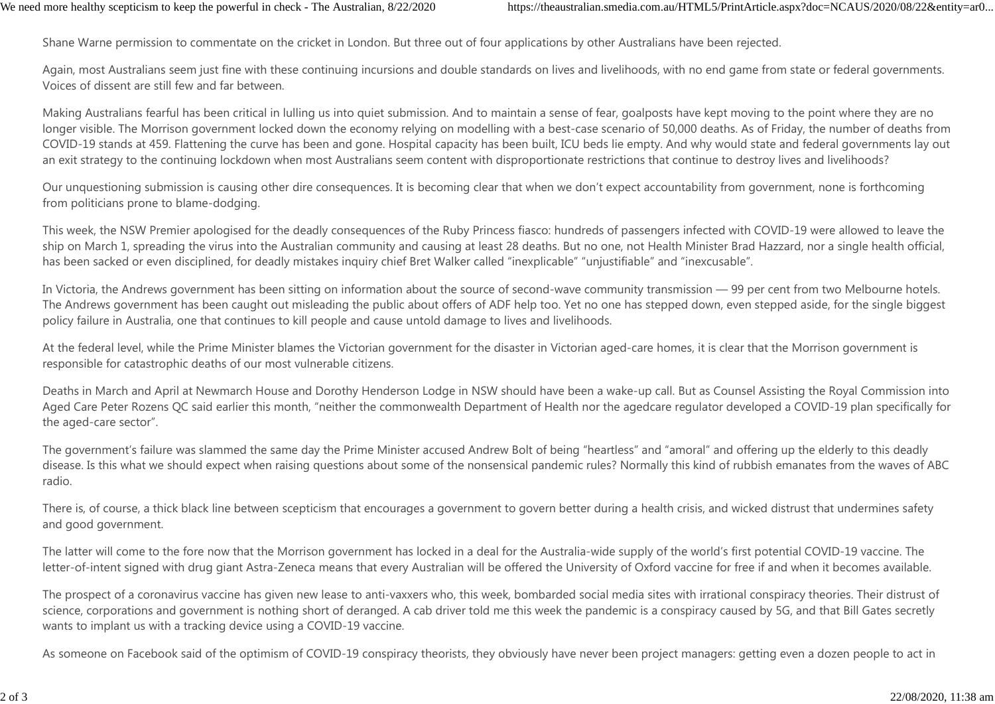Shane Warne permission to commentate on the cricket in London. But three out of four applications by other Australians have been rejected.

Again, most Australians seem just fine with these continuing incursions and double standards on lives and livelihoods, with no end game from state or federal governments. Voices of dissent are still few and far between.

Making Australians fearful has been critical in lulling us into quiet submission. And to maintain a sense of fear, goalposts have kept moving to the point where they are no longer visible. The Morrison government locked down the economy relying on modelling with a best-case scenario of 50,000 deaths. As of Friday, the number of deaths from COVID-19 stands at 459. Flattening the curve has been and gone. Hospital capacity has been built, ICU beds lie empty. And why would state and federal governments lay out an exit strategy to the continuing lockdown when most Australians seem content with disproportionate restrictions that continue to destroy lives and livelihoods?

Our unquestioning submission is causing other dire consequences. It is becoming clear that when we don't expect accountability from government, none is forthcoming from politicians prone to blame-dodging.

This week, the NSW Premier apologised for the deadly consequences of the Ruby Princess fiasco: hundreds of passengers infected with COVID-19 were allowed to leave the ship on March 1, spreading the virus into the Australian community and causing at least 28 deaths. But no one, not Health Minister Brad Hazzard, nor a single health official, has been sacked or even disciplined, for deadly mistakes inquiry chief Bret Walker called "inexplicable" "unjustifiable" and "inexcusable".

In Victoria, the Andrews government has been sitting on information about the source of second-wave community transmission — 99 per cent from two Melbourne hotels. The Andrews government has been caught out misleading the public about offers of ADF help too. Yet no one has stepped down, even stepped aside, for the single biggest policy failure in Australia, one that continues to kill people and cause untold damage to lives and livelihoods.

At the federal level, while the Prime Minister blames the Victorian government for the disaster in Victorian aged-care homes, it is clear that the Morrison government is responsible for catastrophic deaths of our most vulnerable citizens.

Deaths in March and April at Newmarch House and Dorothy Henderson Lodge in NSW should have been a wake-up call. But as Counsel Assisting the Royal Commission into Aged Care Peter Rozens QC said earlier this month, "neither the commonwealth Department of Health nor the agedcare regulator developed a COVID-19 plan specifically for the aged-care sector".

The government's failure was slammed the same day the Prime Minister accused Andrew Bolt of being "heartless" and "amoral" and offering up the elderly to this deadly disease. Is this what we should expect when raising questions about some of the nonsensical pandemic rules? Normally this kind of rubbish emanates from the waves of ABC radio.

There is, of course, a thick black line between scepticism that encourages a government to govern better during a health crisis, and wicked distrust that undermines safety and good government.

The latter will come to the fore now that the Morrison government has locked in a deal for the Australia-wide supply of the world's first potential COVID-19 vaccine. The letter-of-intent signed with drug giant Astra-Zeneca means that every Australian will be offered the University of Oxford vaccine for free if and when it becomes available.

The prospect of a coronavirus vaccine has given new lease to anti-vaxxers who, this week, bombarded social media sites with irrational conspiracy theories. Their distrust of science, corporations and government is nothing short of deranged. A cab driver told me this week the pandemic is a conspiracy caused by 5G, and that Bill Gates secretly wants to implant us with a tracking device using a COVID-19 vaccine.

As someone on Facebook said of the optimism of COVID-19 conspiracy theorists, they obviously have never been project managers: getting even a dozen people to act in